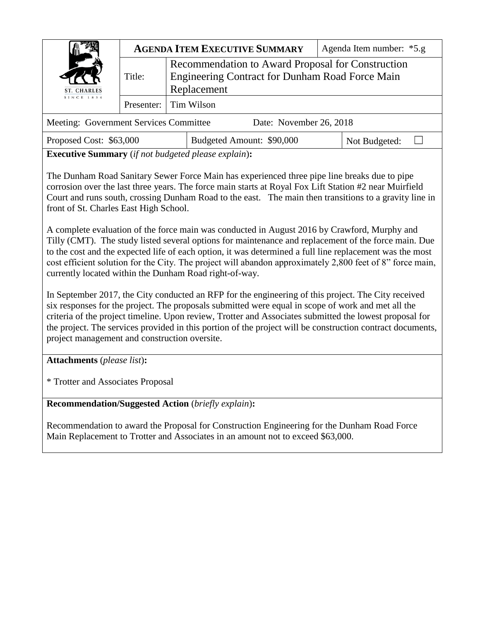|                                        |        | <b>AGENDA ITEM EXECUTIVE SUMMARY</b>                                                                                       | Agenda Item number: *5.g |  |  |  |  |
|----------------------------------------|--------|----------------------------------------------------------------------------------------------------------------------------|--------------------------|--|--|--|--|
| ST. CHARLES<br>SINCE 1834              | Title: | Recommendation to Award Proposal for Construction<br><b>Engineering Contract for Dunham Road Force Main</b><br>Replacement |                          |  |  |  |  |
|                                        |        | Presenter: Tim Wilson                                                                                                      |                          |  |  |  |  |
| Mosting: Covernment Conviges Committee |        | $D_{\text{obs}}$ , November $26.2010$                                                                                      |                          |  |  |  |  |

| Meeting: Government Services Committee | Date: November 26, 2018 |  |
|----------------------------------------|-------------------------|--|
|                                        |                         |  |

**Executive Summary** (*if not budgeted please explain*)**:**

The Dunham Road Sanitary Sewer Force Main has experienced three pipe line breaks due to pipe corrosion over the last three years. The force main starts at Royal Fox Lift Station #2 near Muirfield Court and runs south, crossing Dunham Road to the east. The main then transitions to a gravity line in front of St. Charles East High School.

A complete evaluation of the force main was conducted in August 2016 by Crawford, Murphy and Tilly (CMT). The study listed several options for maintenance and replacement of the force main. Due to the cost and the expected life of each option, it was determined a full line replacement was the most cost efficient solution for the City. The project will abandon approximately 2,800 feet of 8" force main, currently located within the Dunham Road right-of-way.

In September 2017, the City conducted an RFP for the engineering of this project. The City received six responses for the project. The proposals submitted were equal in scope of work and met all the criteria of the project timeline. Upon review, Trotter and Associates submitted the lowest proposal for the project. The services provided in this portion of the project will be construction contract documents, project management and construction oversite.

**Attachments** (*please list*)**:** 

\* Trotter and Associates Proposal

**Recommendation/Suggested Action** (*briefly explain*)**:**

Recommendation to award the Proposal for Construction Engineering for the Dunham Road Force Main Replacement to Trotter and Associates in an amount not to exceed \$63,000.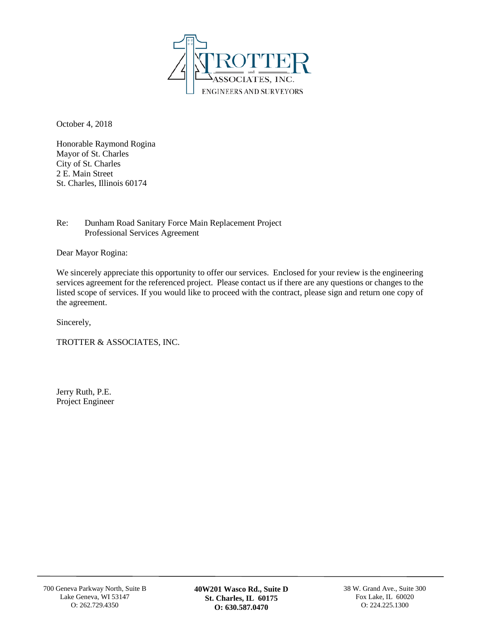

October 4, 2018

Honorable Raymond Rogina Mayor of St. Charles City of St. Charles 2 E. Main Street St. Charles, Illinois 60174

# Re: Dunham Road Sanitary Force Main Replacement Project Professional Services Agreement

Dear Mayor Rogina:

We sincerely appreciate this opportunity to offer our services. Enclosed for your review is the engineering services agreement for the referenced project. Please contact us if there are any questions or changes to the listed scope of services. If you would like to proceed with the contract, please sign and return one copy of the agreement.

Sincerely,

TROTTER & ASSOCIATES, INC.

Jerry Ruth, P.E. Project Engineer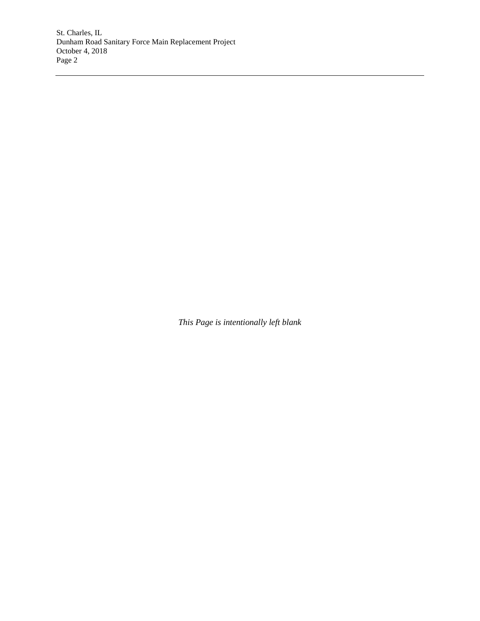St. Charles, IL Dunham Road Sanitary Force Main Replacement Project October 4, 2018 Page 2

*This Page is intentionally left blank*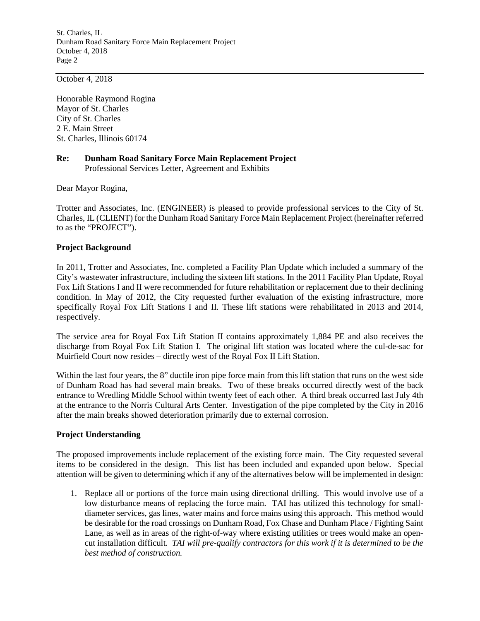St. Charles, IL Dunham Road Sanitary Force Main Replacement Project October 4, 2018 Page 2

October 4, 2018

Honorable Raymond Rogina Mayor of St. Charles City of St. Charles 2 E. Main Street St. Charles, Illinois 60174

# **Re: Dunham Road Sanitary Force Main Replacement Project**

Professional Services Letter, Agreement and Exhibits

Dear Mayor Rogina,

Trotter and Associates, Inc. (ENGINEER) is pleased to provide professional services to the City of St. Charles, IL (CLIENT) for the Dunham Road Sanitary Force Main Replacement Project (hereinafter referred to as the "PROJECT").

# **Project Background**

In 2011, Trotter and Associates, Inc. completed a Facility Plan Update which included a summary of the City's wastewater infrastructure, including the sixteen lift stations. In the 2011 Facility Plan Update, Royal Fox Lift Stations I and II were recommended for future rehabilitation or replacement due to their declining condition. In May of 2012, the City requested further evaluation of the existing infrastructure, more specifically Royal Fox Lift Stations I and II. These lift stations were rehabilitated in 2013 and 2014, respectively.

The service area for Royal Fox Lift Station II contains approximately 1,884 PE and also receives the discharge from Royal Fox Lift Station I. The original lift station was located where the cul-de-sac for Muirfield Court now resides – directly west of the Royal Fox II Lift Station.

Within the last four years, the 8" ductile iron pipe force main from this lift station that runs on the west side of Dunham Road has had several main breaks. Two of these breaks occurred directly west of the back entrance to Wredling Middle School within twenty feet of each other. A third break occurred last July 4th at the entrance to the Norris Cultural Arts Center. Investigation of the pipe completed by the City in 2016 after the main breaks showed deterioration primarily due to external corrosion.

# **Project Understanding**

The proposed improvements include replacement of the existing force main. The City requested several items to be considered in the design. This list has been included and expanded upon below. Special attention will be given to determining which if any of the alternatives below will be implemented in design:

1. Replace all or portions of the force main using directional drilling. This would involve use of a low disturbance means of replacing the force main. TAI has utilized this technology for smalldiameter services, gas lines, water mains and force mains using this approach. This method would be desirable for the road crossings on Dunham Road, Fox Chase and Dunham Place / Fighting Saint Lane, as well as in areas of the right-of-way where existing utilities or trees would make an opencut installation difficult. *TAI will pre-qualify contractors for this work if it is determined to be the best method of construction.*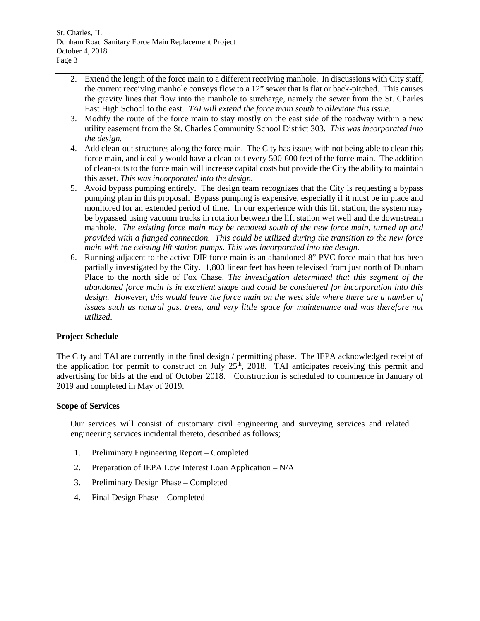- 2. Extend the length of the force main to a different receiving manhole. In discussions with City staff, the current receiving manhole conveys flow to a 12" sewer that is flat or back-pitched. This causes the gravity lines that flow into the manhole to surcharge, namely the sewer from the St. Charles East High School to the east. *TAI will extend the force main south to alleviate this issue.*
- 3. Modify the route of the force main to stay mostly on the east side of the roadway within a new utility easement from the St. Charles Community School District 303. *This was incorporated into the design.*
- 4. Add clean-out structures along the force main. The City has issues with not being able to clean this force main, and ideally would have a clean-out every 500-600 feet of the force main. The addition of clean-outs to the force main will increase capital costs but provide the City the ability to maintain this asset. *This was incorporated into the design.*
- 5. Avoid bypass pumping entirely. The design team recognizes that the City is requesting a bypass pumping plan in this proposal. Bypass pumping is expensive, especially if it must be in place and monitored for an extended period of time. In our experience with this lift station, the system may be bypassed using vacuum trucks in rotation between the lift station wet well and the downstream manhole. *The existing force main may be removed south of the new force main, turned up and provided with a flanged connection. This could be utilized during the transition to the new force main with the existing lift station pumps. This was incorporated into the design.*
- 6. Running adjacent to the active DIP force main is an abandoned 8" PVC force main that has been partially investigated by the City. 1,800 linear feet has been televised from just north of Dunham Place to the north side of Fox Chase. *The investigation determined that this segment of the abandoned force main is in excellent shape and could be considered for incorporation into this design. However, this would leave the force main on the west side where there are a number of issues such as natural gas, trees, and very little space for maintenance and was therefore not utilized*.

# **Project Schedule**

The City and TAI are currently in the final design / permitting phase. The IEPA acknowledged receipt of the application for permit to construct on July  $25<sup>th</sup>$ , 2018. TAI anticipates receiving this permit and advertising for bids at the end of October 2018. Construction is scheduled to commence in January of 2019 and completed in May of 2019.

# **Scope of Services**

Our services will consist of customary civil engineering and surveying services and related engineering services incidental thereto, described as follows;

- 1. Preliminary Engineering Report Completed
- 2. Preparation of IEPA Low Interest Loan Application N/A
- 3. Preliminary Design Phase Completed
- 4. Final Design Phase Completed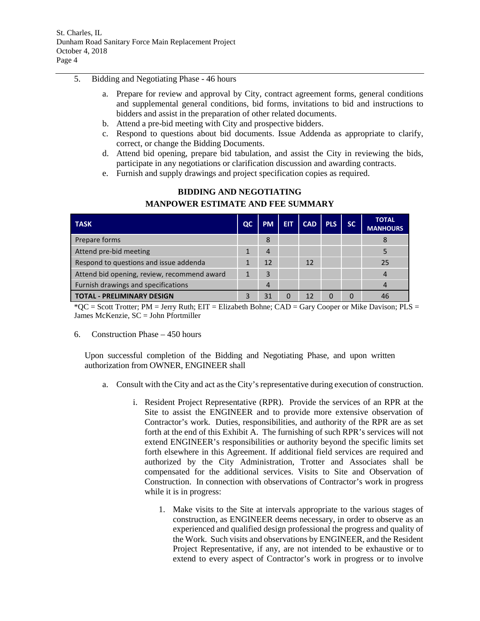- 5. Bidding and Negotiating Phase 46 hours
	- a. Prepare for review and approval by City, contract agreement forms, general conditions and supplemental general conditions, bid forms, invitations to bid and instructions to bidders and assist in the preparation of other related documents.
	- b. Attend a pre-bid meeting with City and prospective bidders.
	- c. Respond to questions about bid documents. Issue Addenda as appropriate to clarify, correct, or change the Bidding Documents.
	- d. Attend bid opening, prepare bid tabulation, and assist the City in reviewing the bids, participate in any negotiations or clarification discussion and awarding contracts.
	- e. Furnish and supply drawings and project specification copies as required.

| <b>TASK</b>                                 | OC | <b>PM</b> | EIT. | $\overline{\phantom{a}}$ CAD | <b>PLS</b> | <b>SC</b> | <b>TOTAL</b><br><b>MANHOURS</b> |
|---------------------------------------------|----|-----------|------|------------------------------|------------|-----------|---------------------------------|
| Prepare forms                               |    | 8         |      |                              |            |           | 8                               |
| Attend pre-bid meeting                      |    | 4         |      |                              |            |           |                                 |
| Respond to questions and issue addenda      |    | 12        |      | 12                           |            |           | 25                              |
| Attend bid opening, review, recommend award |    | 3         |      |                              |            |           |                                 |
| Furnish drawings and specifications         |    | 4         |      |                              |            |           |                                 |
| <b>TOTAL - PRELIMINARY DESIGN</b>           |    | 31        | 0    | 12                           |            | $\Omega$  |                                 |

# **BIDDING AND NEGOTIATING MANPOWER ESTIMATE AND FEE SUMMARY**

 $*QC = Scott Trotter; PM = Jerry Ruth; EIT = Elizabeth Bohne; CAD = Gary Cooper or Mike Davison; PLS =$ James McKenzie, SC = John Pfortmiller

6. Construction Phase – 450 hours

Upon successful completion of the Bidding and Negotiating Phase, and upon written authorization from OWNER, ENGINEER shall

- a. Consult with the City and act as the City's representative during execution of construction.
	- i. Resident Project Representative (RPR). Provide the services of an RPR at the Site to assist the ENGINEER and to provide more extensive observation of Contractor's work. Duties, responsibilities, and authority of the RPR are as set forth at the end of this Exhibit A. The furnishing of such RPR's services will not extend ENGINEER's responsibilities or authority beyond the specific limits set forth elsewhere in this Agreement. If additional field services are required and authorized by the City Administration, Trotter and Associates shall be compensated for the additional services. Visits to Site and Observation of Construction. In connection with observations of Contractor's work in progress while it is in progress:
		- 1. Make visits to the Site at intervals appropriate to the various stages of construction, as ENGINEER deems necessary, in order to observe as an experienced and qualified design professional the progress and quality of the Work. Such visits and observations by ENGINEER, and the Resident Project Representative, if any, are not intended to be exhaustive or to extend to every aspect of Contractor's work in progress or to involve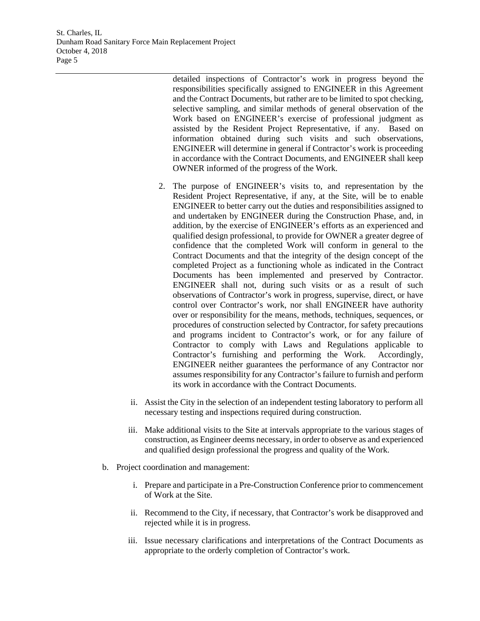St. Charles, IL Dunham Road Sanitary Force Main Replacement Project October 4, 2018 Page 5

> detailed inspections of Contractor's work in progress beyond the responsibilities specifically assigned to ENGINEER in this Agreement and the Contract Documents, but rather are to be limited to spot checking, selective sampling, and similar methods of general observation of the Work based on ENGINEER's exercise of professional judgment as assisted by the Resident Project Representative, if any. Based on information obtained during such visits and such observations, ENGINEER will determine in general if Contractor's work is proceeding in accordance with the Contract Documents, and ENGINEER shall keep OWNER informed of the progress of the Work.

- 2. The purpose of ENGINEER's visits to, and representation by the Resident Project Representative, if any, at the Site, will be to enable ENGINEER to better carry out the duties and responsibilities assigned to and undertaken by ENGINEER during the Construction Phase, and, in addition, by the exercise of ENGINEER's efforts as an experienced and qualified design professional, to provide for OWNER a greater degree of confidence that the completed Work will conform in general to the Contract Documents and that the integrity of the design concept of the completed Project as a functioning whole as indicated in the Contract Documents has been implemented and preserved by Contractor. ENGINEER shall not, during such visits or as a result of such observations of Contractor's work in progress, supervise, direct, or have control over Contractor's work, nor shall ENGINEER have authority over or responsibility for the means, methods, techniques, sequences, or procedures of construction selected by Contractor, for safety precautions and programs incident to Contractor's work, or for any failure of Contractor to comply with Laws and Regulations applicable to Contractor's furnishing and performing the Work. Accordingly, ENGINEER neither guarantees the performance of any Contractor nor assumes responsibility for any Contractor's failure to furnish and perform its work in accordance with the Contract Documents.
- ii. Assist the City in the selection of an independent testing laboratory to perform all necessary testing and inspections required during construction.
- iii. Make additional visits to the Site at intervals appropriate to the various stages of construction, as Engineer deems necessary, in order to observe as and experienced and qualified design professional the progress and quality of the Work.
- b. Project coordination and management:
	- i. Prepare and participate in a Pre‐Construction Conference prior to commencement of Work at the Site.
	- ii. Recommend to the City, if necessary, that Contractor's work be disapproved and rejected while it is in progress.
	- iii. Issue necessary clarifications and interpretations of the Contract Documents as appropriate to the orderly completion of Contractor's work.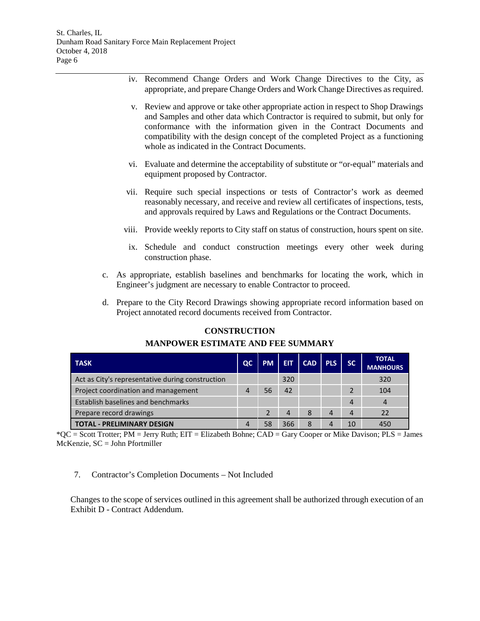- iv. Recommend Change Orders and Work Change Directives to the City, as appropriate, and prepare Change Orders and Work Change Directives as required.
- v. Review and approve or take other appropriate action in respect to Shop Drawings and Samples and other data which Contractor is required to submit, but only for conformance with the information given in the Contract Documents and compatibility with the design concept of the completed Project as a functioning whole as indicated in the Contract Documents.
- vi. Evaluate and determine the acceptability of substitute or "or‐equal" materials and equipment proposed by Contractor.
- vii. Require such special inspections or tests of Contractor's work as deemed reasonably necessary, and receive and review all certificates of inspections, tests, and approvals required by Laws and Regulations or the Contract Documents.
- viii. Provide weekly reports to City staff on status of construction, hours spent on site.
- ix. Schedule and conduct construction meetings every other week during construction phase.
- c. As appropriate, establish baselines and benchmarks for locating the work, which in Engineer's judgment are necessary to enable Contractor to proceed.
- d. Prepare to the City Record Drawings showing appropriate record information based on Project annotated record documents received from Contractor.

| <b>TASK</b>                                      | <b>OC</b> | <b>PM</b> | <b>EIT</b> | <b>CAD</b> | <b>PLS</b> | SC.            | <b>TOTAL</b><br><b>MANHOURS</b> |
|--------------------------------------------------|-----------|-----------|------------|------------|------------|----------------|---------------------------------|
| Act as City's representative during construction |           |           | 320        |            |            |                | 320                             |
| Project coordination and management              |           | 56        | 42         |            |            | $\mathcal{P}$  | 104                             |
| Establish baselines and benchmarks               |           |           |            |            |            | 4              |                                 |
| Prepare record drawings                          |           |           | 4          | 8          |            | $\overline{4}$ | 22                              |
| <b>TOTAL - PRELIMINARY DESIGN</b>                |           | 58        | 366        | 8          |            | 10             |                                 |

# **CONSTRUCTION**

# **MANPOWER ESTIMATE AND FEE SUMMARY**

\*QC = Scott Trotter; PM = Jerry Ruth; EIT = Elizabeth Bohne; CAD = Gary Cooper or Mike Davison; PLS = James McKenzie, SC = John Pfortmiller

7. Contractor's Completion Documents – Not Included

Changes to the scope of services outlined in this agreement shall be authorized through execution of an Exhibit D - Contract Addendum.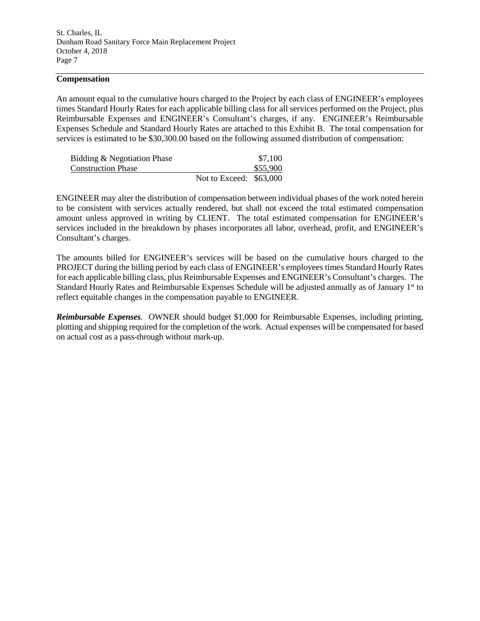# **Compensation**

An amount equal to the cumulative hours charged to the Project by each class of ENGINEER's employees times Standard Hourly Rates for each applicable billing class for all services performed on the Project, plus Reimbursable Expenses and ENGINEER's Consultant's charges, if any. ENGINEER's Reimbursable Expenses Schedule and Standard Hourly Rates are attached to this Exhibit B. The total compensation for services is estimated to be \$30,300.00 based on the following assumed distribution of compensation:

| Bidding & Negotiation Phase |                          | \$7,100  |
|-----------------------------|--------------------------|----------|
| <b>Construction Phase</b>   |                          | \$55,900 |
|                             | Not to Exceed: $$63,000$ |          |

ENGINEER may alter the distribution of compensation between individual phases of the work noted herein to be consistent with services actually rendered, but shall not exceed the total estimated compensation amount unless approved in writing by CLIENT. The total estimated compensation for ENGINEER's services included in the breakdown by phases incorporates all labor, overhead, profit, and ENGINEER's Consultant's charges.

The amounts billed for ENGINEER's services will be based on the cumulative hours charged to the PROJECT during the billing period by each class of ENGINEER's employees times Standard Hourly Rates for each applicable billing class, plus Reimbursable Expenses and ENGINEER's Consultant's charges. The Standard Hourly Rates and Reimbursable Expenses Schedule will be adjusted annually as of January 1st to reflect equitable changes in the compensation payable to ENGINEER.

*Reimbursable Expenses.* OWNER should budget \$1,000 for Reimbursable Expenses, including printing, plotting and shipping required for the completion of the work. Actual expenses will be compensated for based on actual cost as a pass-through without mark-up.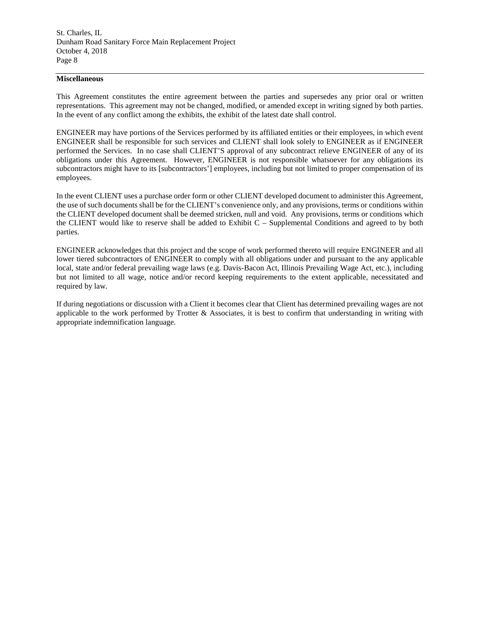# **Miscellaneous**

This Agreement constitutes the entire agreement between the parties and supersedes any prior oral or written representations. This agreement may not be changed, modified, or amended except in writing signed by both parties. In the event of any conflict among the exhibits, the exhibit of the latest date shall control.

ENGINEER may have portions of the Services performed by its affiliated entities or their employees, in which event ENGINEER shall be responsible for such services and CLIENT shall look solely to ENGINEER as if ENGINEER performed the Services. In no case shall CLIENT'S approval of any subcontract relieve ENGINEER of any of its obligations under this Agreement. However, ENGINEER is not responsible whatsoever for any obligations its subcontractors might have to its [subcontractors'] employees, including but not limited to proper compensation of its employees.

In the event CLIENT uses a purchase order form or other CLIENT developed document to administer this Agreement, the use of such documents shall be for the CLIENT's convenience only, and any provisions, terms or conditions within the CLIENT developed document shall be deemed stricken, null and void. Any provisions, terms or conditions which the CLIENT would like to reserve shall be added to Exhibit  $C -$  Supplemental Conditions and agreed to by both parties.

ENGINEER acknowledges that this project and the scope of work performed thereto will require ENGINEER and all lower tiered subcontractors of ENGINEER to comply with all obligations under and pursuant to the any applicable local, state and/or federal prevailing wage laws (e.g. Davis-Bacon Act, Illinois Prevailing Wage Act, etc.), including but not limited to all wage, notice and/or record keeping requirements to the extent applicable, necessitated and required by law.

If during negotiations or discussion with a Client it becomes clear that Client has determined prevailing wages are not applicable to the work performed by Trotter  $\&$  Associates, it is best to confirm that understanding in writing with appropriate indemnification language.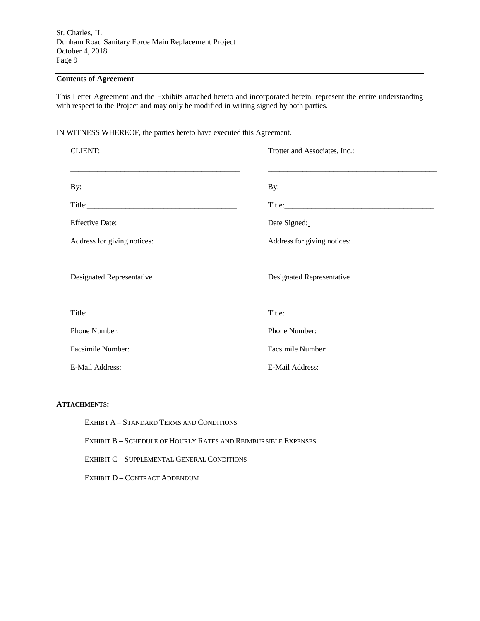# **Contents of Agreement**

This Letter Agreement and the Exhibits attached hereto and incorporated herein, represent the entire understanding with respect to the Project and may only be modified in writing signed by both parties.

IN WITNESS WHEREOF, the parties hereto have executed this Agreement.

| <b>CLIENT:</b>              | Trotter and Associates, Inc.:                                                                                                                                                                                                 |
|-----------------------------|-------------------------------------------------------------------------------------------------------------------------------------------------------------------------------------------------------------------------------|
|                             | the control of the control of the control of the control of the control of the control of the control of the control of the control of the control of the control of the control of the control of the control of the control |
|                             |                                                                                                                                                                                                                               |
|                             |                                                                                                                                                                                                                               |
| Address for giving notices: | Address for giving notices:                                                                                                                                                                                                   |
| Designated Representative   | Designated Representative                                                                                                                                                                                                     |
| Title:                      | Title:                                                                                                                                                                                                                        |
| Phone Number:               | Phone Number:                                                                                                                                                                                                                 |
| Facsimile Number:           | Facsimile Number:                                                                                                                                                                                                             |
| E-Mail Address:             | E-Mail Address:                                                                                                                                                                                                               |
|                             |                                                                                                                                                                                                                               |

# **ATTACHMENTS:**

| EXHIBT A – STANDARD TERMS AND CONDITIONS                       |
|----------------------------------------------------------------|
| EXHIBIT B – SCHEDULE OF HOURLY RATES AND REIMBURSIBLE EXPENSES |
| EXHIBIT C – SUPPLEMENTAL GENERAL CONDITIONS                    |
| EXHIBIT D - CONTRACT ADDENDUM                                  |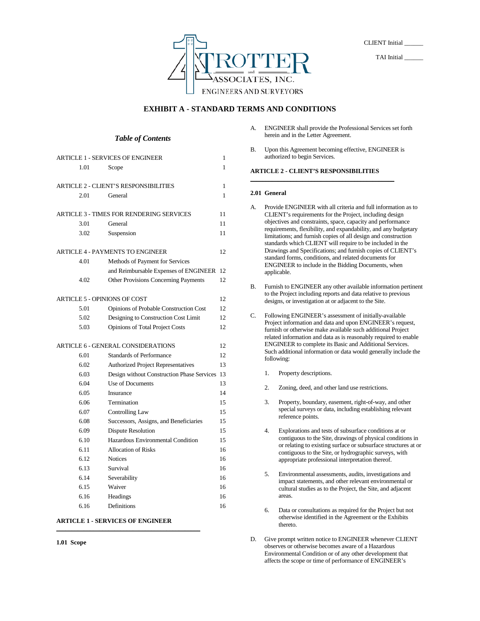

TAI Initial \_\_\_\_\_\_

# **EXHIBIT A - STANDARD TERMS AND CONDITIONS**

## *Table of Contents*

|                                     | ARTICLE 1 - SERVICES OF ENGINEER                | 1  |
|-------------------------------------|-------------------------------------------------|----|
| 1.01                                | Scope                                           | 1  |
|                                     |                                                 |    |
|                                     | ARTICLE 2 - CLIENT'S RESPONSIBILITIES           | 1  |
| 2.01                                | General                                         | 1  |
|                                     | <b>ARTICLE 3 - TIMES FOR RENDERING SERVICES</b> | 11 |
| 3.01                                | General                                         | 11 |
| 3.02                                | Suspension                                      | 11 |
|                                     | <b>ARTICLE 4 - PAYMENTS TO ENGINEER</b>         | 12 |
| 4.01                                | Methods of Payment for Services                 |    |
|                                     | and Reimbursable Expenses of ENGINEER           | 12 |
| 4.02                                | Other Provisions Concerning Payments            | 12 |
| <b>ARTICLE 5 - OPINIONS OF COST</b> |                                                 | 12 |
| 5.01                                | Opinions of Probable Construction Cost          | 12 |
| 5.02                                | Designing to Construction Cost Limit            | 12 |
| 5.03                                | <b>Opinions of Total Project Costs</b>          | 12 |
|                                     |                                                 |    |
|                                     | <b>ARTICLE 6 - GENERAL CONSIDERATIONS</b>       | 12 |
| 6.01                                | <b>Standards of Performance</b>                 | 12 |
| 6.02                                | Authorized Project Representatives              | 13 |
| 6.03                                | Design without Construction Phase Services      | 13 |
| 6.04                                | Use of Documents                                | 13 |
| 6.05                                | Insurance                                       | 14 |
| 6.06                                | Termination                                     | 15 |
| 6.07                                | Controlling Law                                 | 15 |
| 6.08                                | Successors, Assigns, and Beneficiaries          | 15 |
| 6.09                                | Dispute Resolution                              | 15 |
| 6.10                                | Hazardous Environmental Condition               | 15 |
| 6.11                                | <b>Allocation of Risks</b>                      | 16 |
| 6.12                                | <b>Notices</b>                                  | 16 |
| 6.13                                | Survival                                        | 16 |
| 6.14                                | Severability                                    | 16 |
| 6.15                                | Waiver                                          | 16 |
| 6.16                                | Headings                                        | 16 |
| 6.16                                | Definitions                                     | 16 |
|                                     |                                                 |    |

# **ARTICLE 1 - SERVICES OF ENGINEER**

 $\frac{1}{2}$  ,  $\frac{1}{2}$  ,  $\frac{1}{2}$  ,  $\frac{1}{2}$  ,  $\frac{1}{2}$  ,  $\frac{1}{2}$  ,  $\frac{1}{2}$  ,  $\frac{1}{2}$  ,  $\frac{1}{2}$  ,  $\frac{1}{2}$  ,  $\frac{1}{2}$  ,  $\frac{1}{2}$  ,  $\frac{1}{2}$  ,  $\frac{1}{2}$  ,  $\frac{1}{2}$  ,  $\frac{1}{2}$  ,  $\frac{1}{2}$  ,  $\frac{1}{2}$  ,  $\frac{1$ 

**1.01 Scope**

- A. ENGINEER shall provide the Professional Services set forth herein and in the Letter Agreement.
- B. Upon this Agreement becoming effective, ENGINEER is authorized to begin Services.

### **ARTICLE 2 - CLIENT'S RESPONSIBILITIES**

\_\_\_\_\_\_\_\_\_\_\_\_\_\_\_\_\_\_\_\_\_\_\_\_\_\_\_\_\_\_\_\_\_\_\_\_\_\_\_\_\_\_\_\_\_\_\_

## **2.01 General**

- A. Provide ENGINEER with all criteria and full information as to CLIENT's requirements for the Project, including design objectives and constraints, space, capacity and performance requirements, flexibility, and expandability, and any budgetary limitations; and furnish copies of all design and construction standards which CLIENT will require to be included in the Drawings and Specifications; and furnish copies of CLIENT's standard forms, conditions, and related documents for ENGINEER to include in the Bidding Documents, when applicable.
- B. Furnish to ENGINEER any other available information pertinent to the Project including reports and data relative to previous designs, or investigation at or adjacent to the Site.
- C. Following ENGINEER's assessment of initially-available Project information and data and upon ENGINEER's request, furnish or otherwise make available such additional Project related information and data as is reasonably required to enable ENGINEER to complete its Basic and Additional Services. Such additional information or data would generally include the following:
	- 1. Property descriptions.
	- 2. Zoning, deed, and other land use restrictions.
	- 3. Property, boundary, easement, right-of-way, and other special surveys or data, including establishing relevant reference points.
	- 4. Explorations and tests of subsurface conditions at or contiguous to the Site, drawings of physical conditions in or relating to existing surface or subsurface structures at or contiguous to the Site, or hydrographic surveys, with appropriate professional interpretation thereof.
	- 5. Environmental assessments, audits, investigations and impact statements, and other relevant environmental or cultural studies as to the Project, the Site, and adjacent areas.
	- 6. Data or consultations as required for the Project but not otherwise identified in the Agreement or the Exhibits thereto.
- D. Give prompt written notice to ENGINEER whenever CLIENT observes or otherwise becomes aware of a Hazardous Environmental Condition or of any other development that affects the scope or time of performance of ENGINEER's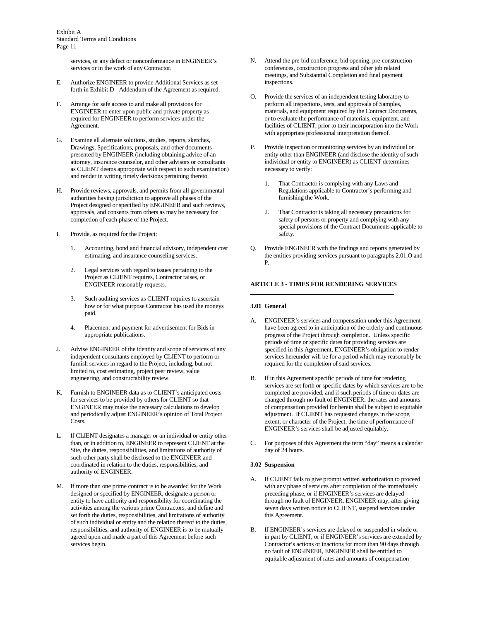> services, or any defect or nonconformance in ENGINEER's services or in the work of any Contractor.

- E. Authorize ENGINEER to provide Additional Services as set forth in Exhibit D - Addendum of the Agreement as required.
- F. Arrange for safe access to and make all provisions for ENGINEER to enter upon public and private property as required for ENGINEER to perform services under the Agreement.
- G. Examine all alternate solutions, studies, reports, sketches, Drawings, Specifications, proposals, and other documents presented by ENGINEER (including obtaining advice of an attorney, insurance counselor, and other advisors or consultants as CLIENT deems appropriate with respect to such examination) and render in writing timely decisions pertaining thereto.
- H. Provide reviews, approvals, and permits from all governmental authorities having jurisdiction to approve all phases of the Project designed or specified by ENGINEER and such reviews, approvals, and consents from others as may be necessary for completion of each phase of the Project.
- I. Provide, as required for the Project:
	- 1. Accounting, bond and financial advisory, independent cost estimating, and insurance counseling services.
	- 2. Legal services with regard to issues pertaining to the Project as CLIENT requires, Contractor raises, or ENGINEER reasonably requests.
	- 3. Such auditing services as CLIENT requires to ascertain how or for what purpose Contractor has used the moneys paid.
	- 4. Placement and payment for advertisement for Bids in appropriate publications.
- J. Advise ENGINEER of the identity and scope of services of any independent consultants employed by CLIENT to perform or furnish services in regard to the Project, including, but not limited to, cost estimating, project peer review, value engineering, and constructability review.
- K. Furnish to ENGINEER data as to CLIENT's anticipated costs for services to be provided by others for CLIENT so that ENGINEER may make the necessary calculations to develop and periodically adjust ENGINEER's opinion of Total Project Costs.
- L. If CLIENT designates a manager or an individual or entity other than, or in addition to, ENGINEER to represent CLIENT at the Site, the duties, responsibilities, and limitations of authority of such other party shall be disclosed to the ENGINEER and coordinated in relation to the duties, responsibilities, and authority of ENGINEER.
- M. If more than one prime contract is to be awarded for the Work designed or specified by ENGINEER, designate a person or entity to have authority and responsibility for coordinating the activities among the various prime Contractors, and define and set forth the duties, responsibilities, and limitations of authority of such individual or entity and the relation thereof to the duties, responsibilities, and authority of ENGINEER is to be mutually agreed upon and made a part of this Agreement before such services begin.
- N. Attend the pre-bid conference, bid opening, pre-construction conferences, construction progress and other job related meetings, and Substantial Completion and final payment inspections.
- O. Provide the services of an independent testing laboratory to perform all inspections, tests, and approvals of Samples, materials, and equipment required by the Contract Documents, or to evaluate the performance of materials, equipment, and facilities of CLIENT, prior to their incorporation into the Work with appropriate professional interpretation thereof.
- Provide inspection or monitoring services by an individual or entity other than ENGINEER (and disclose the identity of such individual or entity to ENGINEER) as CLIENT determines necessary to verify:
	- 1. That Contractor is complying with any Laws and Regulations applicable to Contractor's performing and furnishing the Work.
	- 2. That Contractor is taking all necessary precautions for safety of persons or property and complying with any special provisions of the Contract Documents applicable to safety.
- Q. Provide ENGINEER with the findings and reports generated by the entities providing services pursuant to paragraphs 2.01.O and P.

## **ARTICLE 3 - TIMES FOR RENDERING SERVICES** \_\_\_\_\_\_\_\_\_\_\_\_\_\_\_\_\_\_\_\_\_\_\_\_\_\_\_\_\_\_\_\_\_\_\_\_\_\_\_\_\_\_\_\_\_\_\_

#### **3.01 General**

- ENGINEER's services and compensation under this Agreement have been agreed to in anticipation of the orderly and continuous progress of the Project through completion. Unless specific periods of time or specific dates for providing services are specified in this Agreement, ENGINEER's obligation to render services hereunder will be for a period which may reasonably be required for the completion of said services.
- B. If in this Agreement specific periods of time for rendering services are set forth or specific dates by which services are to be completed are provided, and if such periods of time or dates are changed through no fault of ENGINEER, the rates and amounts of compensation provided for herein shall be subject to equitable adjustment. If CLIENT has requested changes in the scope, extent, or character of the Project, the time of performance of ENGINEER's services shall be adjusted equitably.
- C. For purposes of this Agreement the term "day" means a calendar day of 24 hours.

#### **3.02 Suspension**

- A. If CLIENT fails to give prompt written authorization to proceed with any phase of services after completion of the immediately preceding phase, or if ENGINEER's services are delayed through no fault of ENGINEER, ENGINEER may, after giving seven days written notice to CLIENT, suspend services under this Agreement.
- B. If ENGINEER's services are delayed or suspended in whole or in part by CLIENT, or if ENGINEER's services are extended by Contractor's actions or inactions for more than 90 days through no fault of ENGINEER, ENGINEER shall be entitled to equitable adjustment of rates and amounts of compensation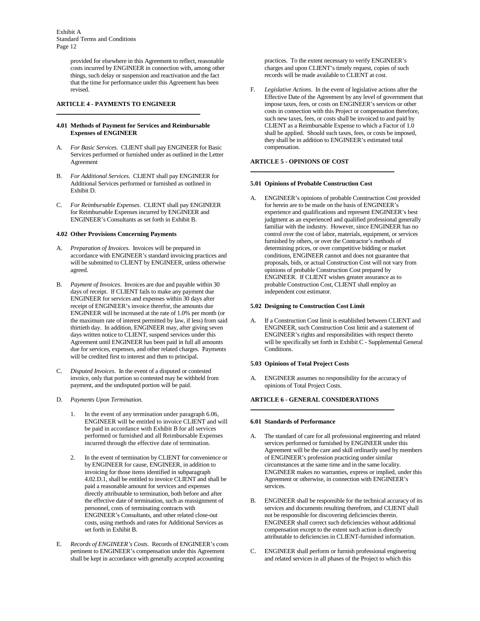> provided for elsewhere in this Agreement to reflect, reasonable costs incurred by ENGINEER in connection with, among other things, such delay or suspension and reactivation and the fact that the time for performance under this Agreement has been revised.

## **ARTICLE 4 - PAYMENTS TO ENGINEER**

### **4.01 Methods of Payment for Services and Reimbursable Expenses of ENGINEER**

\_\_\_\_\_\_\_\_\_\_\_\_\_\_\_\_\_\_\_\_\_\_\_\_\_\_\_\_\_\_\_\_\_\_\_\_\_\_\_\_\_\_\_\_\_\_\_

- A. *For Basic Services*. CLIENT shall pay ENGINEER for Basic Services performed or furnished under as outlined in the Letter Agreement
- B. *For Additional Services*. CLIENT shall pay ENGINEER for Additional Services performed or furnished as outlined in Exhibit D.
- C. *For Reimbursable Expenses*. CLIENT shall pay ENGINEER for Reimbursable Expenses incurred by ENGINEER and ENGINEER's Consultants as set forth in Exhibit B.

### **4.02 Other Provisions Concerning Payments**

- A. *Preparation of Invoices*. Invoices will be prepared in accordance with ENGINEER's standard invoicing practices and will be submitted to CLIENT by ENGINEER, unless otherwise agreed.
- B. *Payment of Invoices*. Invoices are due and payable within 30 days of receipt. If CLIENT fails to make any payment due ENGINEER for services and expenses within 30 days after receipt of ENGINEER's invoice therefor, the amounts due ENGINEER will be increased at the rate of 1.0% per month (or the maximum rate of interest permitted by law, if less) from said thirtieth day. In addition, ENGINEER may, after giving seven days written notice to CLIENT, suspend services under this Agreement until ENGINEER has been paid in full all amounts due for services, expenses, and other related charges. Payments will be credited first to interest and then to principal.
- C. *Disputed Invoices*. In the event of a disputed or contested invoice, only that portion so contested may be withheld from payment, and the undisputed portion will be paid.
- D. *Payments Upon Termination*.
	- 1. In the event of any termination under paragraph 6.06, ENGINEER will be entitled to invoice CLIENT and will be paid in accordance with Exhibit B for all services performed or furnished and all Reimbursable Expenses incurred through the effective date of termination.
	- 2. In the event of termination by CLIENT for convenience or by ENGINEER for cause, ENGINEER, in addition to invoicing for those items identified in subparagraph 4.02.D.1, shall be entitled to invoice CLIENT and shall be paid a reasonable amount for services and expenses directly attributable to termination, both before and after the effective date of termination, such as reassignment of personnel, costs of terminating contracts with ENGINEER's Consultants, and other related close-out costs, using methods and rates for Additional Services as set forth in Exhibit B.
- E. *Records of ENGINEER's Costs*. Records of ENGINEER's costs pertinent to ENGINEER's compensation under this Agreement shall be kept in accordance with generally accepted accounting

practices. To the extent necessary to verify ENGINEER's charges and upon CLIENT's timely request, copies of such records will be made available to CLIENT at cost.

F. *Legislative Actions*. In the event of legislative actions after the Effective Date of the Agreement by any level of government that impose taxes, fees, or costs on ENGINEER's services or other costs in connection with this Project or compensation therefore, such new taxes, fees, or costs shall be invoiced to and paid by CLIENT as a Reimbursable Expense to which a Factor of 1.0 shall be applied. Should such taxes, fees, or costs be imposed, they shall be in addition to ENGINEER's estimated total compensation.

## **ARTICLE 5 - OPINIONS OF COST**

#### **5.01 Opinions of Probable Construction Cost**

\_\_\_\_\_\_\_\_\_\_\_\_\_\_\_\_\_\_\_\_\_\_\_\_\_\_\_\_\_\_\_\_\_\_\_\_\_\_\_\_\_\_\_\_\_\_\_

ENGINEER's opinions of probable Construction Cost provided for herein are to be made on the basis of ENGINEER's experience and qualifications and represent ENGINEER's best judgment as an experienced and qualified professional generally familiar with the industry. However, since ENGINEER has no control over the cost of labor, materials, equipment, or services furnished by others, or over the Contractor's methods of determining prices, or over competitive bidding or market conditions, ENGINEER cannot and does not guarantee that proposals, bids, or actual Construction Cost will not vary from opinions of probable Construction Cost prepared by ENGINEER. If CLIENT wishes greater assurance as to probable Construction Cost, CLIENT shall employ an independent cost estimator.

#### **5.02 Designing to Construction Cost Limit**

If a Construction Cost limit is established between CLIENT and ENGINEER, such Construction Cost limit and a statement of ENGINEER's rights and responsibilities with respect thereto will be specifically set forth in Exhibit C - Supplemental General Conditions.

#### **5.03 Opinions of Total Project Costs**

ENGINEER assumes no responsibility for the accuracy of opinions of Total Project Costs.

### **ARTICLE 6 - GENERAL CONSIDERATIONS**

\_\_\_\_\_\_\_\_\_\_\_\_\_\_\_\_\_\_\_\_\_\_\_\_\_\_\_\_\_\_\_\_\_\_\_\_\_\_\_\_\_\_\_\_\_\_\_

### **6.01 Standards of Performance**

- A. The standard of care for all professional engineering and related services performed or furnished by ENGINEER under this Agreement will be the care and skill ordinarily used by members of ENGINEER's profession practicing under similar circumstances at the same time and in the same locality. ENGINEER makes no warranties, express or implied, under this Agreement or otherwise, in connection with ENGINEER's services.
- B. ENGINEER shall be responsible for the technical accuracy of its services and documents resulting therefrom, and CLIENT shall not be responsible for discovering deficiencies therein. ENGINEER shall correct such deficiencies without additional compensation except to the extent such action is directly attributable to deficiencies in CLIENT-furnished information.
- C. ENGINEER shall perform or furnish professional engineering and related services in all phases of the Project to which this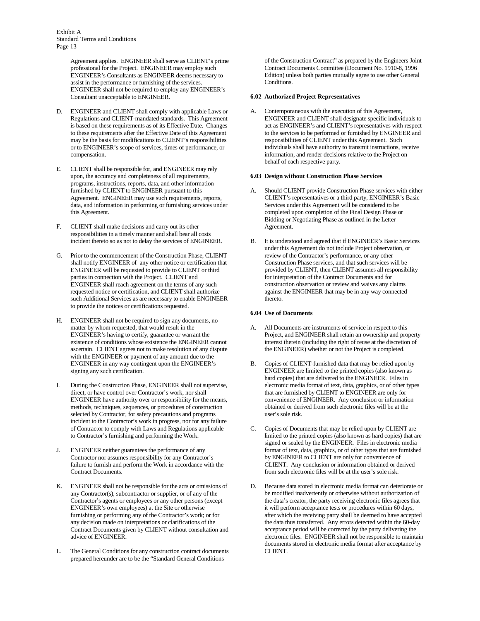> Agreement applies. ENGINEER shall serve as CLIENT's prime professional for the Project. ENGINEER may employ such ENGINEER's Consultants as ENGINEER deems necessary to assist in the performance or furnishing of the services. ENGINEER shall not be required to employ any ENGINEER's Consultant unacceptable to ENGINEER.

- D. ENGINEER and CLIENT shall comply with applicable Laws or Regulations and CLIENT-mandated standards. This Agreement is based on these requirements as of its Effective Date. Changes to these requirements after the Effective Date of this Agreement may be the basis for modifications to CLIENT's responsibilities or to ENGINEER's scope of services, times of performance, or compensation.
- E. CLIENT shall be responsible for, and ENGINEER may rely upon, the accuracy and completeness of all requirements, programs, instructions, reports, data, and other information furnished by CLIENT to ENGINEER pursuant to this Agreement. ENGINEER may use such requirements, reports, data, and information in performing or furnishing services under this Agreement.
- F. CLIENT shall make decisions and carry out its other responsibilities in a timely manner and shall bear all costs incident thereto so as not to delay the services of ENGINEER.
- G. Prior to the commencement of the Construction Phase, CLIENT shall notify ENGINEER of any other notice or certification that ENGINEER will be requested to provide to CLIENT or third parties in connection with the Project. CLIENT and ENGINEER shall reach agreement on the terms of any such requested notice or certification, and CLIENT shall authorize such Additional Services as are necessary to enable ENGINEER to provide the notices or certifications requested.
- H. ENGINEER shall not be required to sign any documents, no matter by whom requested, that would result in the ENGINEER's having to certify, guarantee or warrant the existence of conditions whose existence the ENGINEER cannot ascertain. CLIENT agrees not to make resolution of any dispute with the ENGINEER or payment of any amount due to the ENGINEER in any way contingent upon the ENGINEER's signing any such certification.
- I. During the Construction Phase, ENGINEER shall not supervise, direct, or have control over Contractor's work, nor shall ENGINEER have authority over or responsibility for the means, methods, techniques, sequences, or procedures of construction selected by Contractor, for safety precautions and programs incident to the Contractor's work in progress, nor for any failure of Contractor to comply with Laws and Regulations applicable to Contractor's furnishing and performing the Work.
- J. ENGINEER neither guarantees the performance of any Contractor nor assumes responsibility for any Contractor's failure to furnish and perform the Work in accordance with the Contract Documents.
- ENGINEER shall not be responsible for the acts or omissions of any Contractor(s), subcontractor or supplier, or of any of the Contractor's agents or employees or any other persons (except ENGINEER's own employees) at the Site or otherwise furnishing or performing any of the Contractor's work; or for any decision made on interpretations or clarifications of the Contract Documents given by CLIENT without consultation and advice of ENGINEER.
- L. The General Conditions for any construction contract documents prepared hereunder are to be the "Standard General Conditions

of the Construction Contract" as prepared by the Engineers Joint Contract Documents Committee (Document No. 1910-8, 1996 Edition) unless both parties mutually agree to use other General Conditions.

## **6.02 Authorized Project Representatives**

A. Contemporaneous with the execution of this Agreement, ENGINEER and CLIENT shall designate specific individuals to act as ENGINEER's and CLIENT's representatives with respect to the services to be performed or furnished by ENGINEER and responsibilities of CLIENT under this Agreement. Such individuals shall have authority to transmit instructions, receive information, and render decisions relative to the Project on behalf of each respective party.

## **6.03 Design without Construction Phase Services**

- A. Should CLIENT provide Construction Phase services with either CLIENT's representatives or a third party, ENGINEER's Basic Services under this Agreement will be considered to be completed upon completion of the Final Design Phase or Bidding or Negotiating Phase as outlined in the Letter Agreement.
- B. It is understood and agreed that if ENGINEER's Basic Services under this Agreement do not include Project observation, or review of the Contractor's performance, or any other Construction Phase services, and that such services will be provided by CLIENT, then CLIENT assumes all responsibility for interpretation of the Contract Documents and for construction observation or review and waives any claims against the ENGINEER that may be in any way connected thereto.

### **6.04 Use of Documents**

- A. All Documents are instruments of service in respect to this Project, and ENGINEER shall retain an ownership and property interest therein (including the right of reuse at the discretion of the ENGINEER) whether or not the Project is completed.
- B. Copies of CLIENT-furnished data that may be relied upon by ENGINEER are limited to the printed copies (also known as hard copies) that are delivered to the ENGINEER. Files in electronic media format of text, data, graphics, or of other types that are furnished by CLIENT to ENGINEER are only for convenience of ENGINEER. Any conclusion or information obtained or derived from such electronic files will be at the user's sole risk.
- C. Copies of Documents that may be relied upon by CLIENT are limited to the printed copies (also known as hard copies) that are signed or sealed by the ENGINEER. Files in electronic media format of text, data, graphics, or of other types that are furnished by ENGINEER to CLIENT are only for convenience of CLIENT. Any conclusion or information obtained or derived from such electronic files will be at the user's sole risk.
- D. Because data stored in electronic media format can deteriorate or be modified inadvertently or otherwise without authorization of the data's creator, the party receiving electronic files agrees that it will perform acceptance tests or procedures within 60 days, after which the receiving party shall be deemed to have accepted the data thus transferred. Any errors detected within the 60-day acceptance period will be corrected by the party delivering the electronic files. ENGINEER shall not be responsible to maintain documents stored in electronic media format after acceptance by CLIENT.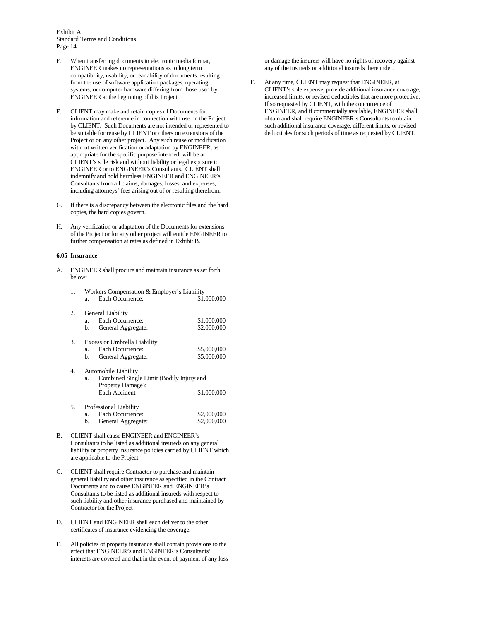- E. When transferring documents in electronic media format, ENGINEER makes no representations as to long term compatibility, usability, or readability of documents resulting from the use of software application packages, operating systems, or computer hardware differing from those used by ENGINEER at the beginning of this Project.
- F. CLIENT may make and retain copies of Documents for information and reference in connection with use on the Project by CLIENT. Such Documents are not intended or represented to be suitable for reuse by CLIENT or others on extensions of the Project or on any other project. Any such reuse or modification without written verification or adaptation by ENGINEER, as appropriate for the specific purpose intended, will be at CLIENT's sole risk and without liability or legal exposure to ENGINEER or to ENGINEER's Consultants. CLIENT shall indemnify and hold harmless ENGINEER and ENGINEER's Consultants from all claims, damages, losses, and expenses, including attorneys' fees arising out of or resulting therefrom.
- G. If there is a discrepancy between the electronic files and the hard copies, the hard copies govern.
- H. Any verification or adaptation of the Documents for extensions of the Project or for any other project will entitle ENGINEER to further compensation at rates as defined in Exhibit B.

### **6.05 Insurance**

- A. ENGINEER shall procure and maintain insurance as set forth below:
	- 1. Workers Compensation & Employer's Liability a. Each Occurrence: \$1,000,000 2. General Liability a. Each Occurrence: \$1,000,000 b. General Aggregate: \$2,000,000 3. Excess or Umbrella Liability a. Each Occurrence: \$5,000,000<br>b. General Aggregate: \$5,000,000 General Aggregate: 4. Automobile Liability a. Combined Single Limit (Bodily Injury and Property Damage): Each Accident \$1,000,000 5. Professional Liability a. Each Occurrence: \$2,000,000<br>b General Aggregate: \$2,000,000 b. General Aggregate:
- B. CLIENT shall cause ENGINEER and ENGINEER's Consultants to be listed as additional insureds on any general liability or property insurance policies carried by CLIENT which are applicable to the Project.
- C. CLIENT shall require Contractor to purchase and maintain general liability and other insurance as specified in the Contract Documents and to cause ENGINEER and ENGINEER's Consultants to be listed as additional insureds with respect to such liability and other insurance purchased and maintained by Contractor for the Project
- D. CLIENT and ENGINEER shall each deliver to the other certificates of insurance evidencing the coverage.
- E. All policies of property insurance shall contain provisions to the effect that ENGINEER's and ENGINEER's Consultants' interests are covered and that in the event of payment of any loss

or damage the insurers will have no rights of recovery against any of the insureds or additional insureds thereunder.

F. At any time, CLIENT may request that ENGINEER, at CLIENT's sole expense, provide additional insurance coverage, increased limits, or revised deductibles that are more protective. If so requested by CLIENT, with the concurrence of ENGINEER, and if commercially available, ENGINEER shall obtain and shall require ENGINEER's Consultants to obtain such additional insurance coverage, different limits, or revised deductibles for such periods of time as requested by CLIENT.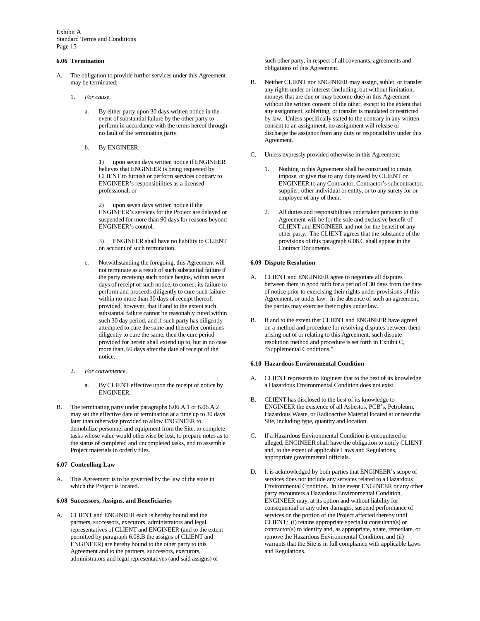### **6.06 Termination**

- A. The obligation to provide further services under this Agreement may be terminated:
	- 1. *For cause*,
		- By either party upon 30 days written notice in the event of substantial failure by the other party to perform in accordance with the terms hereof through no fault of the terminating party.
		- b. By ENGINEER:

1) upon seven days written notice if ENGINEER believes that ENGINEER is being requested by CLIENT to furnish or perform services contrary to ENGINEER's responsibilities as a licensed professional; or

2) upon seven days written notice if the ENGINEER's services for the Project are delayed or suspended for more than 90 days for reasons beyond ENGINEER's control.

3) ENGINEER shall have no liability to CLIENT on account of such termination.

- c. Notwithstanding the foregoing, this Agreement will not terminate as a result of such substantial failure if the party receiving such notice begins, within seven days of receipt of such notice, to correct its failure to perform and proceeds diligently to cure such failure within no more than 30 days of receipt thereof; provided, however, that if and to the extent such substantial failure cannot be reasonably cured within such 30 day period, and if such party has diligently attempted to cure the same and thereafter continues diligently to cure the same, then the cure period provided for herein shall extend up to, but in no case more than, 60 days after the date of receipt of the notice.
- 2. *For convenience*,
	- a. By CLIENT effective upon the receipt of notice by ENGINEER.
- B. The terminating party under paragraphs 6.06.A.1 or 6.06.A.2 may set the effective date of termination at a time up to 30 days later than otherwise provided to allow ENGINEER to demobilize personnel and equipment from the Site, to complete tasks whose value would otherwise be lost, to prepare notes as to the status of completed and uncompleted tasks, and to assemble Project materials in orderly files.

### **6.07 Controlling Law**

A. This Agreement is to be governed by the law of the state in which the Project is located.

### **6.08 Successors, Assigns, and Beneficiaries**

A. CLIENT and ENGINEER each is hereby bound and the partners, successors, executors, administrators and legal representatives of CLIENT and ENGINEER (and to the extent permitted by paragraph 6.08.B the assigns of CLIENT and ENGINEER) are hereby bound to the other party to this Agreement and to the partners, successors, executors, administrators and legal representatives (and said assigns) of

such other party, in respect of all covenants, agreements and obligations of this Agreement.

- B. Neither CLIENT nor ENGINEER may assign, sublet, or transfer any rights under or interest (including, but without limitation, moneys that are due or may become due) in this Agreement without the written consent of the other, except to the extent that any assignment, subletting, or transfer is mandated or restricted by law. Unless specifically stated to the contrary in any written consent to an assignment, no assignment will release or discharge the assignor from any duty or responsibility under this Agreement.
- C. Unless expressly provided otherwise in this Agreement:
	- 1. Nothing in this Agreement shall be construed to create, impose, or give rise to any duty owed by CLIENT or ENGINEER to any Contractor, Contractor's subcontractor, supplier, other individual or entity, or to any surety for or employee of any of them.
	- 2. All duties and responsibilities undertaken pursuant to this Agreement will be for the sole and exclusive benefit of CLIENT and ENGINEER and not for the benefit of any other party. The CLIENT agrees that the substance of the provisions of this paragraph 6.08.C shall appear in the Contract Documents.

#### **6.09 Dispute Resolution**

- A. CLIENT and ENGINEER agree to negotiate all disputes between them in good faith for a period of 30 days from the date of notice prior to exercising their rights under provisions of this Agreement, or under law. In the absence of such an agreement, the parties may exercise their rights under law.
- B. If and to the extent that CLIENT and ENGINEER have agreed on a method and procedure for resolving disputes between them arising out of or relating to this Agreement, such dispute resolution method and procedure is set forth in Exhibit C, "Supplemental Conditions."

#### **6.10 Hazardous Environmental Condition**

- A. CLIENT represents to Engineer that to the best of its knowledge a Hazardous Environmental Condition does not exist.
- B. CLIENT has disclosed to the best of its knowledge to ENGINEER the existence of all Asbestos, PCB's, Petroleum, Hazardous Waste, or Radioactive Material located at or near the Site, including type, quantity and location.
- C. If a Hazardous Environmental Condition is encountered or alleged, ENGINEER shall have the obligation to notify CLIENT and, to the extent of applicable Laws and Regulations, appropriate governmental officials.
- D. It is acknowledged by both parties that ENGINEER's scope of services does not include any services related to a Hazardous Environmental Condition. In the event ENGINEER or any other party encounters a Hazardous Environmental Condition, ENGINEER may, at its option and without liability for consequential or any other damages, suspend performance of services on the portion of the Project affected thereby until CLIENT: (i) retains appropriate specialist consultant(s) or contractor(s) to identify and, as appropriate, abate, remediate, or remove the Hazardous Environmental Condition; and (ii) warrants that the Site is in full compliance with applicable Laws and Regulations.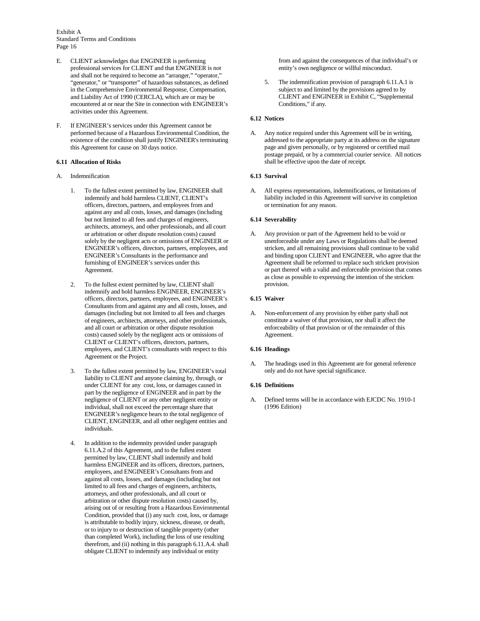- E. CLIENT acknowledges that ENGINEER is performing professional services for CLIENT and that ENGINEER is not and shall not be required to become an "arranger," "operator," "generator," or "transporter" of hazardous substances, as defined in the Comprehensive Environmental Response, Compensation, and Liability Act of 1990 (CERCLA), which are or may be encountered at or near the Site in connection with ENGINEER's activities under this Agreement.
- F. If ENGINEER's services under this Agreement cannot be performed because of a Hazardous Environmental Condition, the existence of the condition shall justify ENGINEER's terminating this Agreement for cause on 30 days notice.

## **6.11 Allocation of Risks**

- A. Indemnification
	- 1. To the fullest extent permitted by law, ENGINEER shall indemnify and hold harmless CLIENT, CLIENT's officers, directors, partners, and employees from and against any and all costs, losses, and damages (including but not limited to all fees and charges of engineers, architects, attorneys, and other professionals, and all court or arbitration or other dispute resolution costs) caused solely by the negligent acts or omissions of ENGINEER or ENGINEER's officers, directors, partners, employees, and ENGINEER's Consultants in the performance and furnishing of ENGINEER's services under this Agreement.
	- 2. To the fullest extent permitted by law, CLIENT shall indemnify and hold harmless ENGINEER, ENGINEER's officers, directors, partners, employees, and ENGINEER's Consultants from and against any and all costs, losses, and damages (including but not limited to all fees and charges of engineers, architects, attorneys, and other professionals, and all court or arbitration or other dispute resolution costs) caused solely by the negligent acts or omissions of CLIENT or CLIENT's officers, directors, partners, employees, and CLIENT's consultants with respect to this Agreement or the Project.
	- 3. To the fullest extent permitted by law, ENGINEER's total liability to CLIENT and anyone claiming by, through, or under CLIENT for any cost, loss, or damages caused in part by the negligence of ENGINEER and in part by the negligence of CLIENT or any other negligent entity or individual, shall not exceed the percentage share that ENGINEER's negligence bears to the total negligence of CLIENT, ENGINEER, and all other negligent entities and individuals.
	- In addition to the indemnity provided under paragraph 6.11.A.2 of this Agreement, and to the fullest extent permitted by law, CLIENT shall indemnify and hold harmless ENGINEER and its officers, directors, partners, employees, and ENGINEER's Consultants from and against all costs, losses, and damages (including but not limited to all fees and charges of engineers, architects, attorneys, and other professionals, and all court or arbitration or other dispute resolution costs) caused by, arising out of or resulting from a Hazardous Environmental Condition, provided that (i) any such cost, loss, or damage is attributable to bodily injury, sickness, disease, or death, or to injury to or destruction of tangible property (other than completed Work), including the loss of use resulting therefrom, and (ii) nothing in this paragraph 6.11.A.4. shall obligate CLIENT to indemnify any individual or entity

from and against the consequences of that individual's or entity's own negligence or willful misconduct.

5. The indemnification provision of paragraph 6.11.A.1 is subject to and limited by the provisions agreed to by CLIENT and ENGINEER in Exhibit C, "Supplemental Conditions," if any.

## **6.12 Notices**

A. Any notice required under this Agreement will be in writing, addressed to the appropriate party at its address on the signature page and given personally, or by registered or certified mail postage prepaid, or by a commercial courier service. All notices shall be effective upon the date of receipt.

## **6.13 Survival**

A. All express representations, indemnifications, or limitations of liability included in this Agreement will survive its completion or termination for any reason.

## **6.14 Severability**

A. Any provision or part of the Agreement held to be void or unenforceable under any Laws or Regulations shall be deemed stricken, and all remaining provisions shall continue to be valid and binding upon CLIENT and ENGINEER, who agree that the Agreement shall be reformed to replace such stricken provision or part thereof with a valid and enforceable provision that comes as close as possible to expressing the intention of the stricken provision.

## **6.15 Waiver**

A. Non-enforcement of any provision by either party shall not constitute a waiver of that provision, nor shall it affect the enforceability of that provision or of the remainder of this Agreement.

## **6.16 Headings**

A. The headings used in this Agreement are for general reference only and do not have special significance.

## **6.16 Definitions**

Defined terms will be in accordance with EJCDC No. 1910-1 (1996 Edition)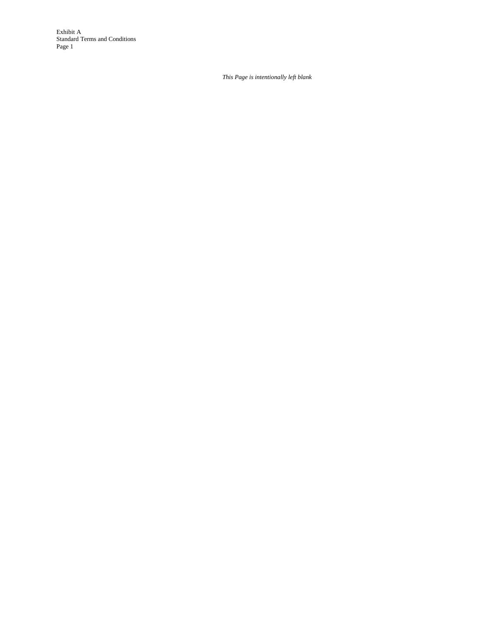*This Page is intentionally left blank*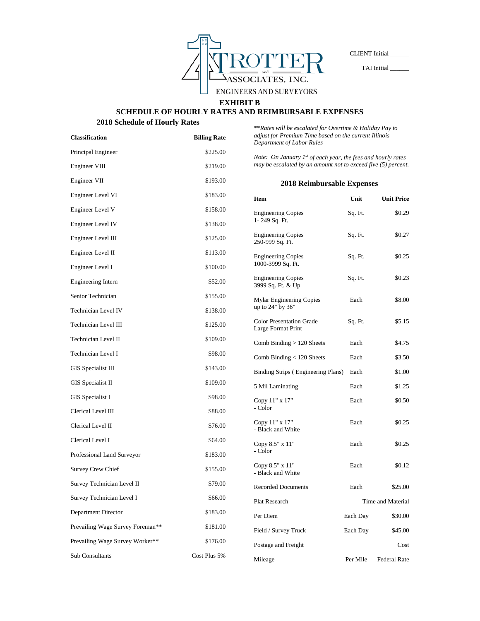

CLIENT Initial

TAI Initial

**EXHIBIT B**

# **SCHEDULE OF HOURLY RATES AND REIMBURSABLE EXPENSES**

# **2018 Schedule of Hourly Rates**

**Classification Billing Rate**  Principal Engineer \$225.00 Engineer VIII  $$219.00$ Engineer VII \$193.00 Engineer Level VI \$183.00 Engineer Level V  $$158.00$ Engineer Level IV \$138.00 Engineer Level III \$125.00 Engineer Level II \$113.00 Engineer Level I \$100.00 Engineering Intern \$52.00 Senior Technician  $$155.00$ Technician Level IV \$138.00 Technician Level III  $$125.00$ Technician Level II \$109.00 Technician Level I  $$98.00$ GIS Specialist III  $$143.00$ GIS Specialist II \$109.00 GIS Specialist I \$98.00 Clerical Level III  $$88.00$ Clerical Level II  $$76.00$ Clerical Level I  $$64.00$ Professional Land Surveyor \$183.00 Survey Crew Chief \$155.00 Survey Technician Level II \$79.00 Survey Technician Level I  $$66.00$ Department Director \$183.00 Prevailing Wage Survey Foreman\*\* \$181.00 Prevailing Wage Survey Worker\*\* \$176.00 Sub Consultants Cost Plus 5%

\*\**Rates will be escalated for Overtime & Holiday Pay to adjust for Premium Time based on the current Illinois Department of Labor Rules*

*Note: On January 1st of each year, the fees and hourly rates may be escalated by an amount not to exceed five (5) percent.*

## **2018 Reimbursable Expenses**

| <b>Item</b>                                           | Unit     | <b>Unit Price</b>   |
|-------------------------------------------------------|----------|---------------------|
| <b>Engineering Copies</b><br>1-249 Sq. Ft.            | Sq. Ft.  | \$0.29              |
| <b>Engineering Copies</b><br>250-999 Sq. Ft.          | Sq. Ft.  | \$0.27              |
| <b>Engineering Copies</b><br>1000-3999 Sq. Ft.        | Sq. Ft.  | \$0.25              |
| <b>Engineering Copies</b><br>3999 Sq. Ft. & Up        | Sq. Ft.  | \$0.23              |
| <b>Mylar Engineering Copies</b><br>up to 24" by 36"   | Each     | \$8.00              |
| <b>Color Presentation Grade</b><br>Large Format Print | Sq. Ft.  | \$5.15              |
| Comb Binding $> 120$ Sheets                           | Each     | \$4.75              |
| Comb Binding $<$ 120 Sheets                           | Each     | \$3.50              |
| Binding Strips (Engineering Plans)                    | Each     | \$1.00              |
| 5 Mil Laminating                                      | Each     | \$1.25              |
| Copy 11" x 17"<br>- Color                             | Each     | \$0.50              |
| Copy 11" x 17"<br>- Black and White                   | Each     | \$0.25              |
| Copy 8.5" x 11"<br>- Color                            | Each     | \$0.25              |
| Copy 8.5" x 11"<br>- Black and White                  | Each     | \$0.12              |
| <b>Recorded Documents</b>                             | Each     | \$25.00             |
| <b>Plat Research</b>                                  |          | Time and Material   |
| Per Diem                                              | Each Day | \$30.00             |
| Field / Survey Truck                                  | Each Day | \$45.00             |
| Postage and Freight                                   |          | Cost                |
| Mileage                                               | Per Mile | <b>Federal Rate</b> |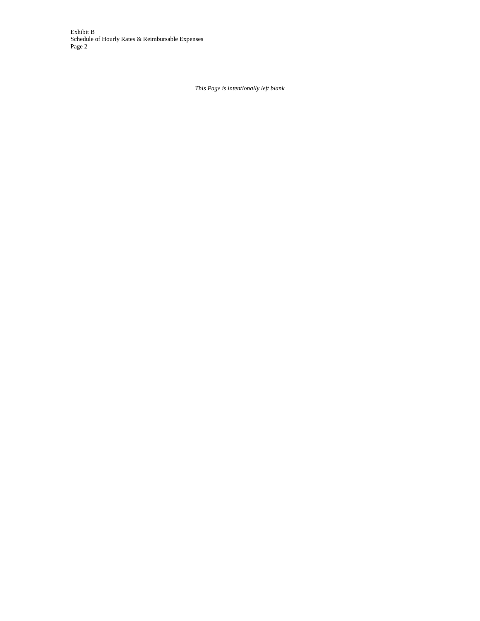Exhibit B Schedule of Hourly Rates & Reimbursable Expenses Page 2

*This Page is intentionally left blank*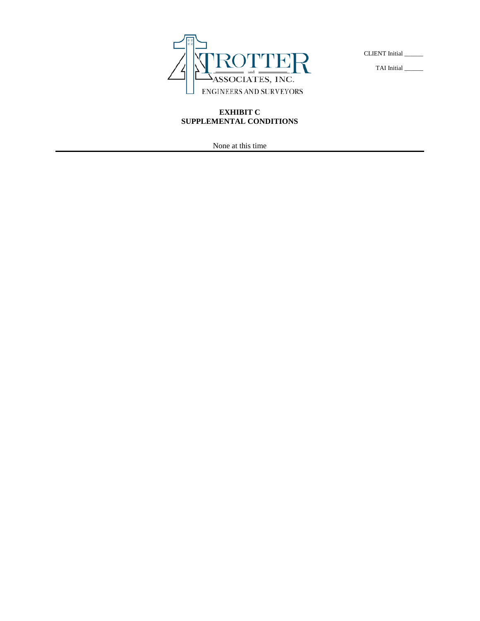

CLIENT Initial \_\_\_\_\_\_

TAI Initial \_\_\_\_\_\_

# **EXHIBIT C SUPPLEMENTAL CONDITIONS**

None at this time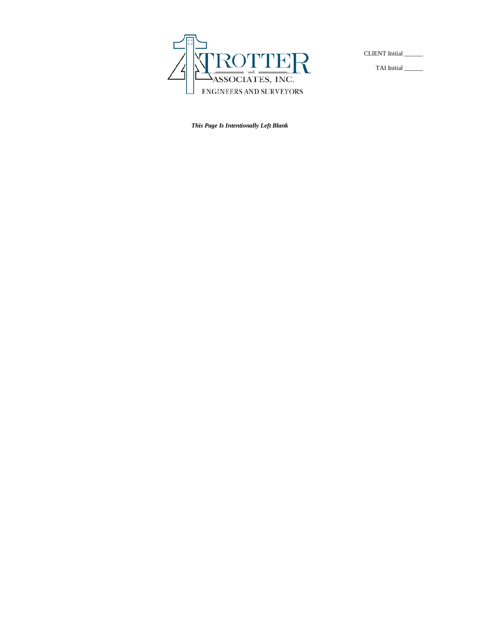

CLIENT Initial \_\_\_\_\_\_

TAI Initial \_\_\_\_\_\_

*This Page Is Intentionally Left Blank*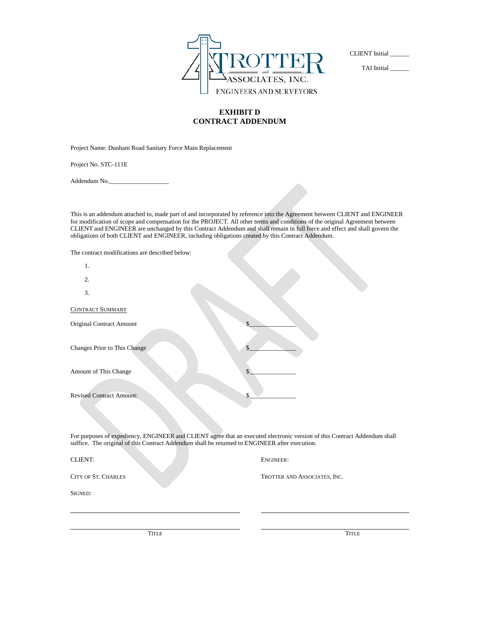

CLIENT Initial

TAI Initial

# **EXHIBIT D CONTRACT ADDENDUM**

Project Name: Dunham Road Sanitary Force Main Replacement

Project No. STC-111E

Addendum No.\_\_

This is an addendum attached to, made part of and incorporated by reference into the Agreement between CLIENT and ENGINEER for modification of scope and compensation for the PROJECT. All other terms and conditions of the original Agreement between CLIENT and ENGINEER are unchanged by this Contract Addendum and shall remain in full force and effect and shall govern the obligations of both CLIENT and ENGINEER, including obligations created by this Contract Addendum.

The contract modifications are described below:

| 1.                                                                                             |                                                                                                                           |
|------------------------------------------------------------------------------------------------|---------------------------------------------------------------------------------------------------------------------------|
| 2.                                                                                             |                                                                                                                           |
| 3.                                                                                             |                                                                                                                           |
| <b>CONTRACT SUMMARY</b>                                                                        |                                                                                                                           |
| Original Contract Amount                                                                       |                                                                                                                           |
| Changes Prior to This Change                                                                   | \$                                                                                                                        |
| Amount of This Change                                                                          | \$                                                                                                                        |
| <b>Revised Contract Amount:</b>                                                                | \$                                                                                                                        |
| suffice. The original of this Contract Addendum shall be returned to ENGINEER after execution. | For purposes of expediency, ENGINEER and CLIENT agree that an executed electronic version of this Contract Addendum shall |
| <b>CLIENT:</b>                                                                                 | <b>ENGINEER:</b>                                                                                                          |
| <b>CITY OF ST. CHARLES</b>                                                                     | TROTTER AND ASSOCIATES, INC.                                                                                              |
| SIGNED:                                                                                        |                                                                                                                           |
|                                                                                                |                                                                                                                           |

TITLE TITLE TIME THAT IS A REPORT OF THE STATE OF THE TIME TIME THAT IS A REPORT OF THE STATE OF THE STATE OF THE STATE OF THE STATE OF THE STATE OF THE STATE OF THE STATE OF THE STATE OF THE STATE OF THE STATE OF THE STAT